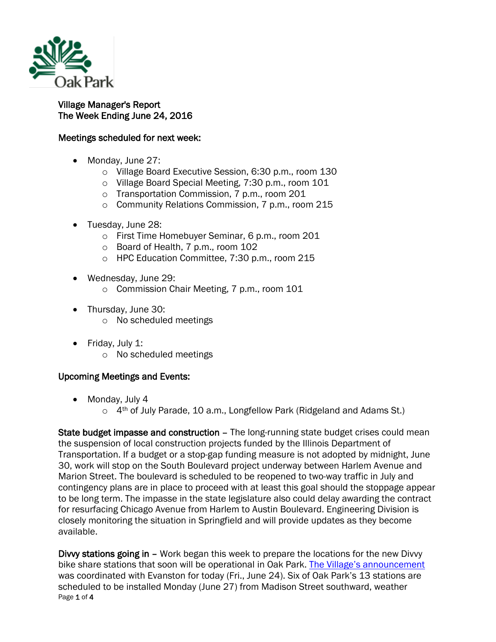

## Village Manager's Report The Week Ending June 24, 2016

## Meetings scheduled for next week:

- Monday, June 27:
	- o Village Board Executive Session, 6:30 p.m., room 130
	- o Village Board Special Meeting, 7:30 p.m., room 101
	- o Transportation Commission, 7 p.m., room 201
	- o Community Relations Commission, 7 p.m., room 215
- Tuesday, June 28:
	- o First Time Homebuyer Seminar, 6 p.m., room 201
	- o Board of Health, 7 p.m., room 102
	- o HPC Education Committee, 7:30 p.m., room 215
- Wednesday, June 29:
	- o Commission Chair Meeting, 7 p.m., room 101
- Thursday, June 30:
	- o No scheduled meetings
- Friday, July 1:
	- o No scheduled meetings

## Upcoming Meetings and Events:

- Monday, July 4
	- o 4<sup>th</sup> of July Parade, 10 a.m., Longfellow Park (Ridgeland and Adams St.)

State budget impasse and construction – The long-running state budget crises could mean the suspension of local construction projects funded by the Illinois Department of Transportation. If a budget or a stop-gap funding measure is not adopted by midnight, June 30, work will stop on the South Boulevard project underway between Harlem Avenue and Marion Street. The boulevard is scheduled to be reopened to two-way traffic in July and contingency plans are in place to proceed with at least this goal should the stoppage appear to be long term. The impasse in the state legislature also could delay awarding the contract for resurfacing Chicago Avenue from Harlem to Austin Boulevard. Engineering Division is closely monitoring the situation in Springfield and will provide updates as they become available.

Page 1 of 4 Divvy stations going in – Work began this week to prepare the locations for the new Divvy bike share stations that soon will be operational in Oak Park. [The Village's announcement](http://www.oak-park.us/news/divvy-rolling-oak-park) was coordinated with Evanston for today (Fri., June 24). Six of Oak Park's 13 stations are scheduled to be installed Monday (June 27) from Madison Street southward, weather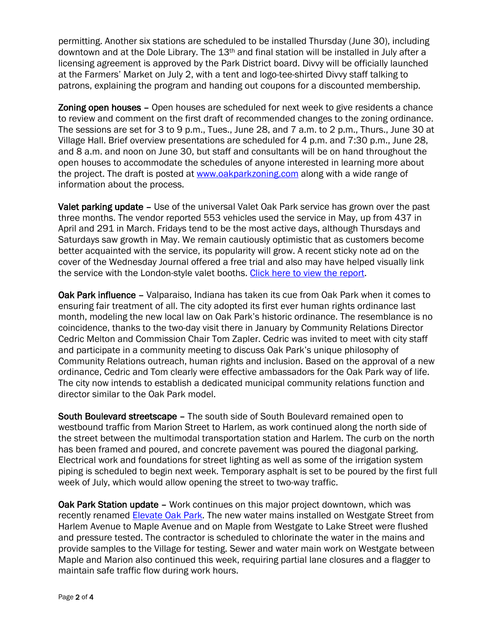permitting. Another six stations are scheduled to be installed Thursday (June 30), including downtown and at the Dole Library. The 13<sup>th</sup> and final station will be installed in July after a licensing agreement is approved by the Park District board. Divvy will be officially launched at the Farmers' Market on July 2, with a tent and logo-tee-shirted Divvy staff talking to patrons, explaining the program and handing out coupons for a discounted membership.

Zoning open houses – Open houses are scheduled for next week to give residents a chance to review and comment on the first draft of recommended changes to the zoning ordinance. The sessions are set for 3 to 9 p.m., Tues., June 28, and 7 a.m. to 2 p.m., Thurs., June 30 at Village Hall. Brief overview presentations are scheduled for 4 p.m. and 7:30 p.m., June 28, and 8 a.m. and noon on June 30, but staff and consultants will be on hand throughout the open houses to accommodate the schedules of anyone interested in learning more about the project. The draft is posted at [www.oakparkzoning.com](http://www.oakparkzoning.com/) along with a wide range of information about the process.

Valet parking update – Use of the universal Valet Oak Park service has grown over the past three months. The vendor reported 553 vehicles used the service in May, up from 437 in April and 291 in March. Fridays tend to be the most active days, although Thursdays and Saturdays saw growth in May. We remain cautiously optimistic that as customers become better acquainted with the service, its popularity will grow. A recent sticky note ad on the cover of the Wednesday Journal offered a free trial and also may have helped visually link the service with the London-style valet booths. [Click here to view the report.](http://www.oak-park.us/sites/default/files/456678891/2016-03-05-valet-report.pdf)

Oak Park influence – Valparaiso, Indiana has taken its cue from Oak Park when it comes to ensuring fair treatment of all. The city adopted its first ever human rights ordinance last month, modeling the new local law on Oak Park's historic ordinance. The resemblance is no coincidence, thanks to the two-day visit there in January by Community Relations Director Cedric Melton and Commission Chair Tom Zapler. Cedric was invited to meet with city staff and participate in a community meeting to discuss Oak Park's unique philosophy of Community Relations outreach, human rights and inclusion. Based on the approval of a new ordinance, Cedric and Tom clearly were effective ambassadors for the Oak Park way of life. The city now intends to establish a dedicated municipal community relations function and director similar to the Oak Park model.

South Boulevard streetscape – The south side of South Boulevard remained open to westbound traffic from Marion Street to Harlem, as work continued along the north side of the street between the multimodal transportation station and Harlem. The curb on the north has been framed and poured, and concrete pavement was poured the diagonal parking. Electrical work and foundations for street lighting as well as some of the irrigation system piping is scheduled to begin next week. Temporary asphalt is set to be poured by the first full week of July, which would allow opening the street to two-way traffic.

Oak Park Station update – Work continues on this major project downtown, which was recently renamed Elevate [Oak Park.](http://elevateoakpark.com/) The new water mains installed on Westgate Street from Harlem Avenue to Maple Avenue and on Maple from Westgate to Lake Street were flushed and pressure tested. The contractor is scheduled to chlorinate the water in the mains and provide samples to the Village for testing. Sewer and water main work on Westgate between Maple and Marion also continued this week, requiring partial lane closures and a flagger to maintain safe traffic flow during work hours.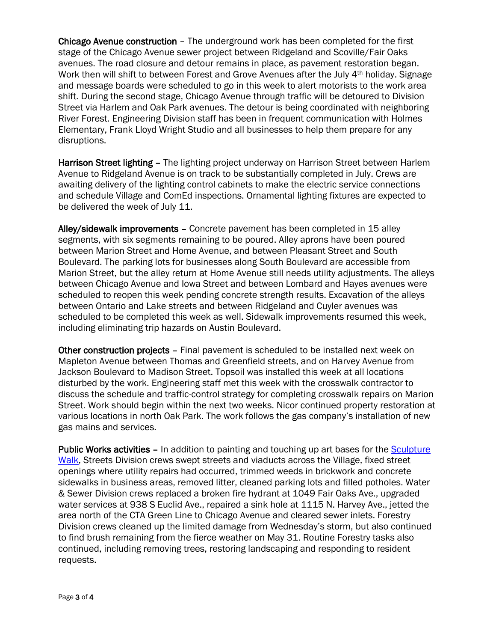Chicago Avenue construction – The underground work has been completed for the first stage of the Chicago Avenue sewer project between Ridgeland and Scoville/Fair Oaks avenues. The road closure and detour remains in place, as pavement restoration began. Work then will shift to between Forest and Grove Avenues after the July 4th holiday. Signage and message boards were scheduled to go in this week to alert motorists to the work area shift. During the second stage, Chicago Avenue through traffic will be detoured to Division Street via Harlem and Oak Park avenues. The detour is being coordinated with neighboring River Forest. Engineering Division staff has been in frequent communication with Holmes Elementary, Frank Lloyd Wright Studio and all businesses to help them prepare for any disruptions.

Harrison Street lighting – The lighting project underway on Harrison Street between Harlem Avenue to Ridgeland Avenue is on track to be substantially completed in July. Crews are awaiting delivery of the lighting control cabinets to make the electric service connections and schedule Village and ComEd inspections. Ornamental lighting fixtures are expected to be delivered the week of July 11.

Alley/sidewalk improvements – Concrete pavement has been completed in 15 alley segments, with six segments remaining to be poured. Alley aprons have been poured between Marion Street and Home Avenue, and between Pleasant Street and South Boulevard. The parking lots for businesses along South Boulevard are accessible from Marion Street, but the alley return at Home Avenue still needs utility adjustments. The alleys between Chicago Avenue and Iowa Street and between Lombard and Hayes avenues were scheduled to reopen this week pending concrete strength results. Excavation of the alleys between Ontario and Lake streets and between Ridgeland and Cuyler avenues was scheduled to be completed this week as well. Sidewalk improvements resumed this week, including eliminating trip hazards on Austin Boulevard.

Other construction projects – Final pavement is scheduled to be installed next week on Mapleton Avenue between Thomas and Greenfield streets, and on Harvey Avenue from Jackson Boulevard to Madison Street. Topsoil was installed this week at all locations disturbed by the work. Engineering staff met this week with the crosswalk contractor to discuss the schedule and traffic-control strategy for completing crosswalk repairs on Marion Street. Work should begin within the next two weeks. Nicor continued property restoration at various locations in north Oak Park. The work follows the gas company's installation of new gas mains and services.

Public Works activities – In addition to painting and touching up art bases for the Sculpture [Walk,](http://www.oak-park.us/our-community/special-events/sculpture-walk) Streets Division crews swept streets and viaducts across the Village, fixed street openings where utility repairs had occurred, trimmed weeds in brickwork and concrete sidewalks in business areas, removed litter, cleaned parking lots and filled potholes. Water & Sewer Division crews replaced a broken fire hydrant at 1049 Fair Oaks Ave., upgraded water services at 938 S Euclid Ave., repaired a sink hole at 1115 N. Harvey Ave., jetted the area north of the CTA Green Line to Chicago Avenue and cleared sewer inlets. Forestry Division crews cleaned up the limited damage from Wednesday's storm, but also continued to find brush remaining from the fierce weather on May 31. Routine Forestry tasks also continued, including removing trees, restoring landscaping and responding to resident requests.